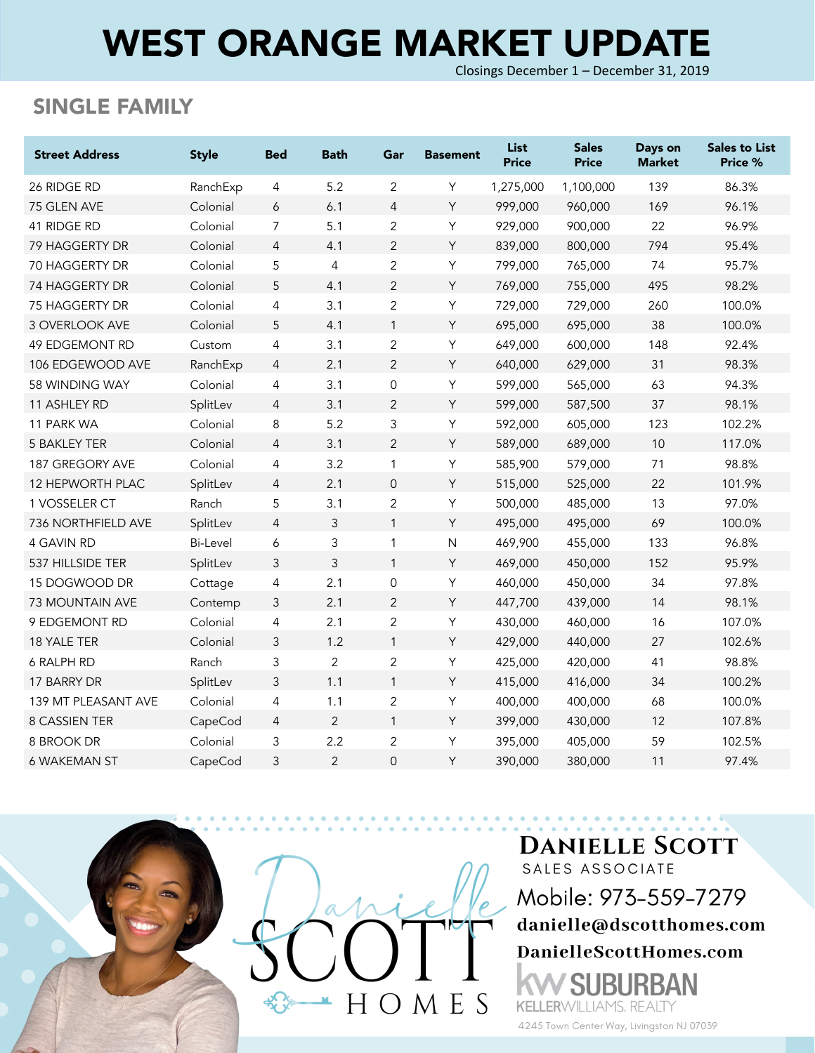# WEST ORANGE MARKET UPDATE

Closings December 1 – December 31, 2019

#### SINGLE FAMILY

| <b>Street Address</b>     | <b>Style</b>    | <b>Bed</b>     | <b>Bath</b>    | Gar                 | <b>Basement</b> | <b>List</b><br><b>Price</b> | <b>Sales</b><br><b>Price</b> | Days on<br><b>Market</b> | <b>Sales to List</b><br>Price % |
|---------------------------|-----------------|----------------|----------------|---------------------|-----------------|-----------------------------|------------------------------|--------------------------|---------------------------------|
| 26 RIDGE RD               | RanchExp        | 4              | 5.2            | 2                   | Υ               | 1,275,000                   | 1,100,000                    | 139                      | 86.3%                           |
| 75 GLEN AVE               | Colonial        | 6              | 6.1            | $\overline{4}$      | Y               | 999,000                     | 960,000                      | 169                      | 96.1%                           |
| 41 RIDGE RD               | Colonial        | $\overline{7}$ | 5.1            | $\mathbf{2}$        | Υ               | 929,000                     | 900,000                      | 22                       | 96.9%                           |
| 79 HAGGERTY DR            | Colonial        | $\overline{4}$ | 4.1            | $\overline{2}$      | Y               | 839,000                     | 800,000                      | 794                      | 95.4%                           |
| 70 HAGGERTY DR            | Colonial        | 5              | $\overline{4}$ | $\overline{2}$      | Υ               | 799,000                     | 765,000                      | 74                       | 95.7%                           |
| 74 HAGGERTY DR            | Colonial        | 5              | 4.1            | 2                   | Y               | 769,000                     | 755,000                      | 495                      | 98.2%                           |
| 75 HAGGERTY DR            | Colonial        | 4              | 3.1            | $\overline{2}$      | Y               | 729,000                     | 729,000                      | 260                      | 100.0%                          |
| 3 OVERLOOK AVE            | Colonial        | 5              | 4.1            | $\mathbf{1}$        | Y               | 695,000                     | 695,000                      | 38                       | 100.0%                          |
| <b>49 EDGEMONT RD</b>     | Custom          | 4              | 3.1            | $\overline{2}$      | Υ               | 649,000                     | 600,000                      | 148                      | 92.4%                           |
| 106 EDGEWOOD AVE          | RanchExp        | $\overline{4}$ | 2.1            | $\overline{2}$      | Y               | 640,000                     | 629,000                      | 31                       | 98.3%                           |
| 58 WINDING WAY            | Colonial        | 4              | 3.1            | $\mathsf{O}\xspace$ | Υ               | 599,000                     | 565,000                      | 63                       | 94.3%                           |
| 11 ASHLEY RD              | SplitLev        | $\overline{4}$ | 3.1            | 2                   | Y               | 599,000                     | 587,500                      | 37                       | 98.1%                           |
| 11 PARK WA                | Colonial        | 8              | 5.2            | 3                   | Υ               | 592,000                     | 605,000                      | 123                      | 102.2%                          |
| 5 BAKLEY TER              | Colonial        | $\overline{4}$ | 3.1            | $\overline{2}$      | Y               | 589,000                     | 689,000                      | 10                       | 117.0%                          |
| 187 GREGORY AVE           | Colonial        | 4              | 3.2            | 1                   | Υ               | 585,900                     | 579,000                      | 71                       | 98.8%                           |
| 12 HEPWORTH PLAC          | SplitLev        | $\overline{4}$ | 2.1            | $\mathsf{O}\xspace$ | Y               | 515,000                     | 525,000                      | 22                       | 101.9%                          |
| 1 VOSSELER CT             | Ranch           | 5              | 3.1            | 2                   | Y               | 500,000                     | 485,000                      | 13                       | 97.0%                           |
| <b>736 NORTHFIELD AVE</b> | SplitLev        | $\overline{4}$ | 3              | $\mathbf{1}$        | Y               | 495,000                     | 495,000                      | 69                       | 100.0%                          |
| 4 GAVIN RD                | <b>Bi-Level</b> | 6              | 3              | 1                   | $\mathsf{N}$    | 469,900                     | 455,000                      | 133                      | 96.8%                           |
| 537 HILLSIDE TER          | SplitLev        | $\mathfrak{Z}$ | 3              | $\mathbf{1}$        | Y               | 469,000                     | 450,000                      | 152                      | 95.9%                           |
| 15 DOGWOOD DR             | Cottage         | $\overline{4}$ | 2.1            | $\overline{0}$      | Y               | 460,000                     | 450,000                      | 34                       | 97.8%                           |
| 73 MOUNTAIN AVE           | Contemp         | 3              | 2.1            | 2                   | Y               | 447,700                     | 439,000                      | 14                       | 98.1%                           |
| 9 EDGEMONT RD             | Colonial        | 4              | 2.1            | $\overline{2}$      | Y               | 430,000                     | 460,000                      | 16                       | 107.0%                          |
| 18 YALE TER               | Colonial        | 3              | 1.2            | $\mathbf{1}$        | Y               | 429,000                     | 440,000                      | 27                       | 102.6%                          |
| 6 RALPH RD                | Ranch           | 3              | 2              | $\overline{2}$      | Υ               | 425,000                     | 420,000                      | 41                       | 98.8%                           |
| 17 BARRY DR               | SplitLev        | $\mathfrak{Z}$ | 1.1            | $\mathbf{1}$        | Y               | 415,000                     | 416,000                      | 34                       | 100.2%                          |
| 139 MT PLEASANT AVE       | Colonial        | 4              | 1.1            | $\overline{2}$      | Υ               | 400,000                     | 400,000                      | 68                       | 100.0%                          |
| 8 CASSIEN TER             | CapeCod         | $\overline{4}$ | 2              | $\mathbf{1}$        | Y               | 399,000                     | 430,000                      | 12                       | 107.8%                          |
| 8 BROOK DR                | Colonial        | 3              | 2.2            | $\overline{2}$      | Y               | 395,000                     | 405,000                      | 59                       | 102.5%                          |
| <b>6 WAKEMAN ST</b>       | CapeCod         | 3              | $\overline{2}$ | $\overline{0}$      | Y               | 390,000                     | 380,000                      | 11                       | 97.4%                           |



**DANIELLE SCOTT** SALES ASSOCIATE Mobile: 973-559-7279 danielle@dscotthomes.com DanielleScottHomes.com BAN

4245 Town Center Way, Livingston NJ 07039

**KELLERWILLIAMS, REALTY**